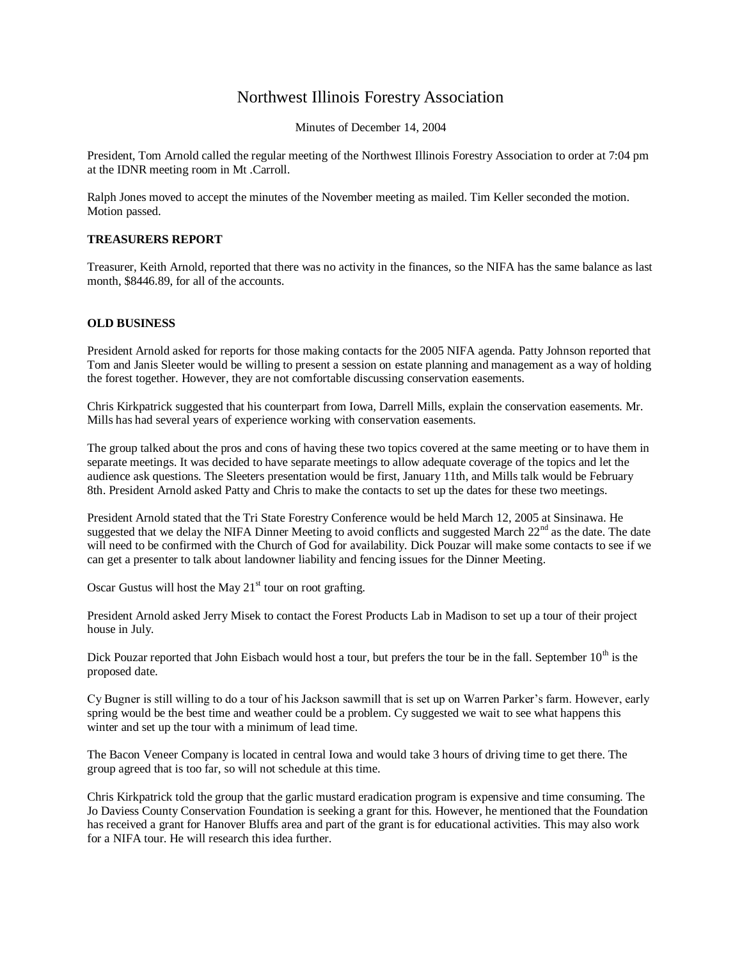# Northwest Illinois Forestry Association

Minutes of December 14, 2004

President, Tom Arnold called the regular meeting of the Northwest Illinois Forestry Association to order at 7:04 pm at the IDNR meeting room in Mt .Carroll.

Ralph Jones moved to accept the minutes of the November meeting as mailed. Tim Keller seconded the motion. Motion passed.

### **TREASURERS REPORT**

Treasurer, Keith Arnold, reported that there was no activity in the finances, so the NIFA has the same balance as last month, \$8446.89, for all of the accounts.

#### **OLD BUSINESS**

President Arnold asked for reports for those making contacts for the 2005 NIFA agenda. Patty Johnson reported that Tom and Janis Sleeter would be willing to present a session on estate planning and management as a way of holding the forest together. However, they are not comfortable discussing conservation easements.

Chris Kirkpatrick suggested that his counterpart from Iowa, Darrell Mills, explain the conservation easements. Mr. Mills has had several years of experience working with conservation easements.

The group talked about the pros and cons of having these two topics covered at the same meeting or to have them in separate meetings. It was decided to have separate meetings to allow adequate coverage of the topics and let the audience ask questions. The Sleeters presentation would be first, January 11th, and Mills talk would be February 8th. President Arnold asked Patty and Chris to make the contacts to set up the dates for these two meetings.

President Arnold stated that the Tri State Forestry Conference would be held March 12, 2005 at Sinsinawa. He suggested that we delay the NIFA Dinner Meeting to avoid conflicts and suggested March  $22<sup>nd</sup>$  as the date. The date will need to be confirmed with the Church of God for availability. Dick Pouzar will make some contacts to see if we can get a presenter to talk about landowner liability and fencing issues for the Dinner Meeting.

Oscar Gustus will host the May  $21<sup>st</sup>$  tour on root grafting.

President Arnold asked Jerry Misek to contact the Forest Products Lab in Madison to set up a tour of their project house in July.

Dick Pouzar reported that John Eisbach would host a tour, but prefers the tour be in the fall. September 10<sup>th</sup> is the proposed date.

Cy Bugner is still willing to do a tour of his Jackson sawmill that is set up on Warren Parker's farm. However, early spring would be the best time and weather could be a problem. Cy suggested we wait to see what happens this winter and set up the tour with a minimum of lead time.

The Bacon Veneer Company is located in central Iowa and would take 3 hours of driving time to get there. The group agreed that is too far, so will not schedule at this time.

Chris Kirkpatrick told the group that the garlic mustard eradication program is expensive and time consuming. The Jo Daviess County Conservation Foundation is seeking a grant for this. However, he mentioned that the Foundation has received a grant for Hanover Bluffs area and part of the grant is for educational activities. This may also work for a NIFA tour. He will research this idea further.